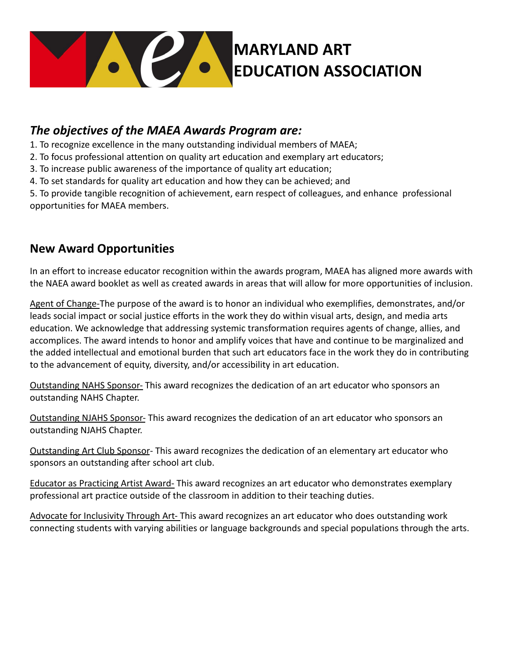

## *The objectives of the MAEA Awards Program are:*

- 1. To recognize excellence in the many outstanding individual members of MAEA;
- 2. To focus professional attention on quality art education and exemplary art educators;
- 3. To increase public awareness of the importance of quality art education;
- 4. To set standards for quality art education and how they can be achieved; and

5. To provide tangible recognition of achievement, earn respect of colleagues, and enhance professional opportunities for MAEA members.

#### **New Award Opportunities**

In an effort to increase educator recognition within the awards program, MAEA has aligned more awards with the NAEA award booklet as well as created awards in areas that will allow for more opportunities of inclusion.

Agent of Change-The purpose of the award is to honor an individual who exemplifies, demonstrates, and/or leads social impact or social justice efforts in the work they do within visual arts, design, and media arts education. We acknowledge that addressing systemic transformation requires agents of change, allies, and accomplices. The award intends to honor and amplify voices that have and continue to be marginalized and the added intellectual and emotional burden that such art educators face in the work they do in contributing to the advancement of equity, diversity, and/or accessibility in art education.

Outstanding NAHS Sponsor- This award recognizes the dedication of an art educator who sponsors an outstanding NAHS Chapter.

Outstanding NJAHS Sponsor- This award recognizes the dedication of an art educator who sponsors an outstanding NJAHS Chapter.

Outstanding Art Club Sponsor- This award recognizes the dedication of an elementary art educator who sponsors an outstanding after school art club.

Educator as Practicing Artist Award- This award recognizes an art educator who demonstrates exemplary professional art practice outside of the classroom in addition to their teaching duties.

Advocate for Inclusivity Through Art- This award recognizes an art educator who does outstanding work connecting students with varying abilities or language backgrounds and special populations through the arts.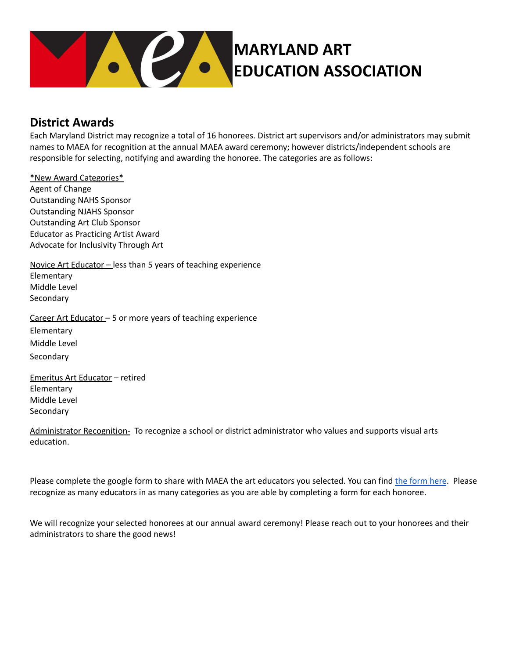

#### **District Awards**

Each Maryland District may recognize a total of 16 honorees. District art supervisors and/or administrators may submit names to MAEA for recognition at the annual MAEA award ceremony; however districts/independent schools are responsible for selecting, notifying and awarding the honoree. The categories are as follows:

\*New Award Categories\* Agent of Change Outstanding NAHS Sponsor Outstanding NJAHS Sponsor Outstanding Art Club Sponsor Educator as Practicing Artist Award Advocate for Inclusivity Through Art

Novice Art Educator – less than 5 years of teaching experience **Elementary** Middle Level Secondary

Career Art Educator – 5 or more years of teaching experience Elementary

Middle Level Secondary

Emeritus Art Educator – retired Elementary Middle Level **Secondary** 

Administrator Recognition- To recognize a school or district administrator who values and supports visual arts education.

Please complete the google [form](https://docs.google.com/forms/d/e/1FAIpQLSfAbbH7R3Ws4T_4Dx8WWC-AlPswPvj_gm0mSHkk_AZWbPmtwQ/viewform?usp=sf_link) to share with MAEA the art educators you selected. You can find the form here. Please recognize as many educators in as many categories as you are able by completing a form for each honoree.

We will recognize your selected honorees at our annual award ceremony! Please reach out to your honorees and their administrators to share the good news!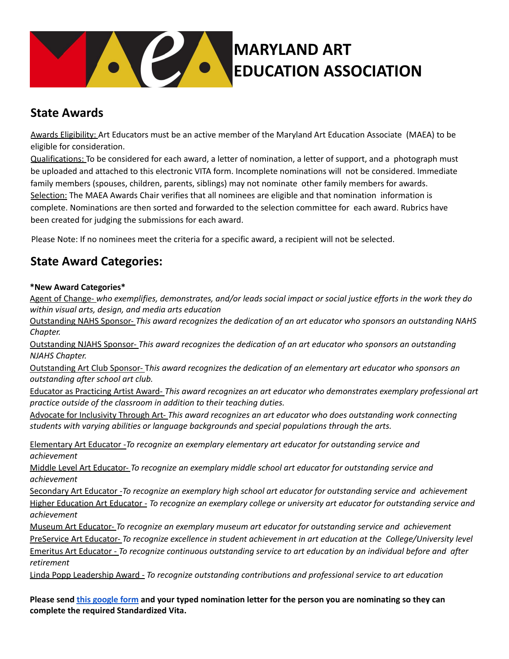

### **State Awards**

Awards Eligibility: Art Educators must be an active member of the Maryland Art Education Associate (MAEA) to be eligible for consideration.

Qualifications: To be considered for each award, a letter of nomination, a letter of support, and a photograph must be uploaded and attached to this electronic VITA form. Incomplete nominations will not be considered. Immediate family members (spouses, children, parents, siblings) may not nominate other family members for awards. Selection: The MAEA Awards Chair verifies that all nominees are eligible and that nomination information is complete. Nominations are then sorted and forwarded to the selection committee for each award. Rubrics have been created for judging the submissions for each award.

Please Note: If no nominees meet the criteria for a specific award, a recipient will not be selected.

### **State Award Categories:**

#### **\*New Award Categories\***

Agent of Change- who exemplifies, demonstrates, and/or leads social impact or social justice efforts in the work they do *within visual arts, design, and media arts education*

Outstanding NAHS Sponsor- *This award recognizes the dedication of an art educator who sponsors an outstanding NAHS Chapter.*

Outstanding NJAHS Sponsor- *This award recognizes the dedication of an art educator who sponsors an outstanding NJAHS Chapter.*

Outstanding Art Club Sponsor- T*his award recognizes the dedication of an elementary art educator who sponsors an outstanding after school art club.*

Educator as Practicing Artist Award- *This award recognizes an art educator who demonstrates exemplary professional art practice outside of the classroom in addition to their teaching duties.*

Advocate for Inclusivity Through Art- *This award recognizes an art educator who does outstanding work connecting students with varying abilities or language backgrounds and special populations through the arts.*

Elementary Art Educator -*To recognize an exemplary elementary art educator for outstanding service and achievement*

Middle Level Art Educator- *To recognize an exemplary middle school art educator for outstanding service and achievement*

Secondary Art Educator -*To recognize an exemplary high school art educator for outstanding service and achievement* Higher Education Art Educator - *To recognize an exemplary college or university art educator for outstanding service and achievement*

Museum Art Educator- *To recognize an exemplary museum art educator for outstanding service and achievement* PreService Art Educator- *To recognize excellence in student achievement in art education at the College/University level* Emeritus Art Educator - *To recognize continuous outstanding service to art education by an individual before and after retirement*

Linda Popp Leadership Award - *To recognize outstanding contributions and professional service to art education*

Please send this [google](https://docs.google.com/forms/d/e/1FAIpQLSchTZGaCyaGqf5LXrsv08rBs-seW_hAm7qMidTdqkH3U6qhBA/viewform?usp=sf_link) form and your typed nomination letter for the person you are nominating so they can **complete the required Standardized Vita.**